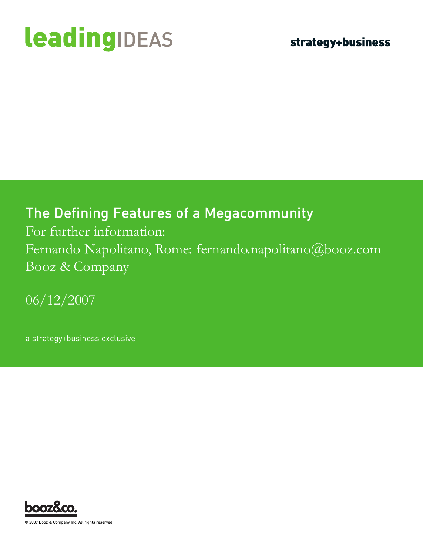# leadingIDEAS

### The Defining Features of a Megacommunity

For further information: Fernando Napolitano, Rome: fernando.napolitano@booz.com Booz & Company

06/12/2007

a strategy+business exclusive



© 2007 Booz & Company Inc. All rights reserved.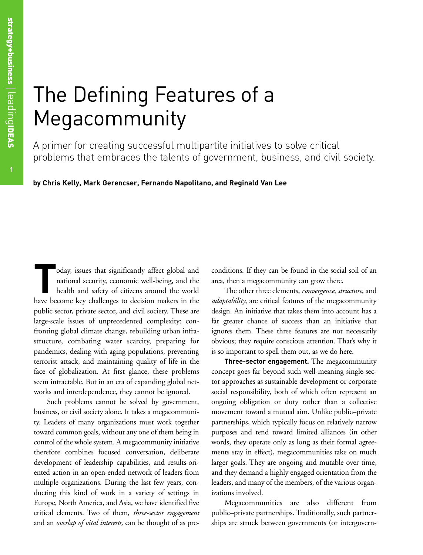## The Defining Features of a Megacommunity

A primer for creating successful multipartite initiatives to solve critical problems that embraces the talents of government, business, and civil society.

**by Chris Kelly, Mark Gerencser, Fernando Napolitano, and Reginald Van Lee**

oday, issues that significantly affect global and<br>national security, economic well-being, and the<br>health and safety of citizens around the world<br>have become law challenges to decision makers in the national security, economic well-being, and the health and safety of citizens around the world have become key challenges to decision makers in the public sector, private sector, and civil society. These are large-scale issues of unprecedented complexity: confronting global climate change, rebuilding urban infrastructure, combating water scarcity, preparing for pandemics, dealing with aging populations, preventing terrorist attack, and maintaining quality of life in the face of globalization. At first glance, these problems seem intractable. But in an era of expanding global networks and interdependence, they cannot be ignored.

Such problems cannot be solved by government, business, or civil society alone. It takes a megacommunity. Leaders of many organizations must work together toward common goals, without any one of them being in control of the whole system. A megacommunity initiative therefore combines focused conversation, deliberate development of leadership capabilities, and results-oriented action in an open-ended network of leaders from multiple organizations. During the last few years, conducting this kind of work in a variety of settings in Europe, North America, and Asia, we have identified five critical elements. Two of them, *three-sector engagement* and an *overlap of vital interests,* can be thought of as preconditions. If they can be found in the social soil of an area, then a megacommunity can grow there.

The other three elements, *convergence*, *structure*, and *adaptability*, are critical features of the megacommunity design. An initiative that takes them into account has a far greater chance of success than an initiative that ignores them. These three features are not necessarily obvious; they require conscious attention. That's why it is so important to spell them out, as we do here.

**Three-sector engagement.** The megacommunity concept goes far beyond such well-meaning single-sector approaches as sustainable development or corporate social responsibility, both of which often represent an ongoing obligation or duty rather than a collective movement toward a mutual aim. Unlike public–private partnerships, which typically focus on relatively narrow purposes and tend toward limited alliances (in other words, they operate only as long as their formal agreements stay in effect), megacommunities take on much larger goals. They are ongoing and mutable over time, and they demand a highly engaged orientation from the leaders, and many of the members, of the various organizations involved.

Megacommunities are also different from public–private partnerships. Traditionally, such partnerships are struck between governments (or intergovern-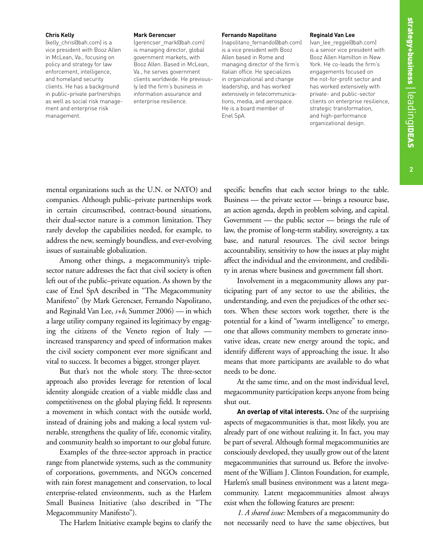#### **Chris Kelly**

(kelly\_chris@bah.com) is a vice president with Booz Allen in McLean, Va., focusing on policy and strategy for law enforcement, intelligence, and homeland security clients. He has a background in public–private partnerships as well as social risk management and enterprise risk management.

#### **Mark Gerencser**

(gerencser\_mark@bah.com) is managing director, global government markets, with Booz Allen. Based in McLean, Va., he serves government clients worldwide. He previously led the firm's business in information assurance and enterprise resilience.

#### **Fernando Napolitano**

(napolitano\_fernando@bah.com) is a vice president with Booz Allen based in Rome and managing director of the firm's Italian office. He specializes in organizational and change leadership, and has worked extensively in telecommunications, media, and aerospace. He is a board member of Enel SpA.

#### **Reginald Van Lee**

(van\_lee\_reggie@bah.com) is a senior vice president with Booz Allen Hamilton in New York. He co-leads the firm's engagements focused on the not-for-profit sector and has worked extensively with private- and public-sector clients on enterprise resilience, strategic transformation, and high-performance organizational design.

mental organizations such as the U.N. or NATO) and companies. Although public–private partnerships work in certain circumscribed, contract-bound situations, their dual-sector nature is a common limitation. They rarely develop the capabilities needed, for example, to address the new, seemingly boundless, and ever-evolving issues of sustainable globalization.

Among other things, a megacommunity's triplesector nature addresses the fact that civil society is often left out of the public–private equation. As shown by the case of Enel SpA described in "The Megacommunity Manifesto" (by Mark Gerencser, Fernando Napolitano, and Reginald Van Lee, *s+b*, Summer 2006) — in which a large utility company regained its legitimacy by engaging the citizens of the Veneto region of Italy increased transparency and speed of information makes the civil society component ever more significant and vital to success. It becomes a bigger, stronger player.

But that's not the whole story. The three-sector approach also provides leverage for retention of local identity alongside creation of a viable middle class and competitiveness on the global playing field. It represents a movement in which contact with the outside world, instead of draining jobs and making a local system vulnerable, strengthens the quality of life, economic vitality, and community health so important to our global future.

Examples of the three-sector approach in practice range from planetwide systems, such as the community of corporations, governments, and NGOs concerned with rain forest management and conservation, to local enterprise-related environments, such as the Harlem Small Business Initiative (also described in "The Megacommunity Manifesto").

The Harlem Initiative example begins to clarify the

specific benefits that each sector brings to the table. Business — the private sector — brings a resource base, an action agenda, depth in problem solving, and capital. Government — the public sector — brings the rule of law, the promise of long-term stability, sovereignty, a tax base, and natural resources. The civil sector brings accountability, sensitivity to how the issues at play might affect the individual and the environment, and credibility in arenas where business and government fall short.

Involvement in a megacommunity allows any participating part of any sector to use the abilities, the understanding, and even the prejudices of the other sectors. When these sectors work together, there is the potential for a kind of "swarm intelligence" to emerge, one that allows community members to generate innovative ideas, create new energy around the topic, and identify different ways of approaching the issue. It also means that more participants are available to do what needs to be done.

At the same time, and on the most individual level, megacommunity participation keeps anyone from being shut out.

**An overlap of vital interests.** One of the surprising aspects of megacommunities is that, most likely, you are already part of one without realizing it. In fact, you may be part of several. Although formal megacommunities are consciously developed, they usually grow out of the latent megacommunities that surround us. Before the involvement of the William J. Clinton Foundation, for example, Harlem's small business environment was a latent megacommunity. Latent megacommunities almost always exist when the following features are present:

*1. A shared issue:* Members of a megacommunity do not necessarily need to have the same objectives, but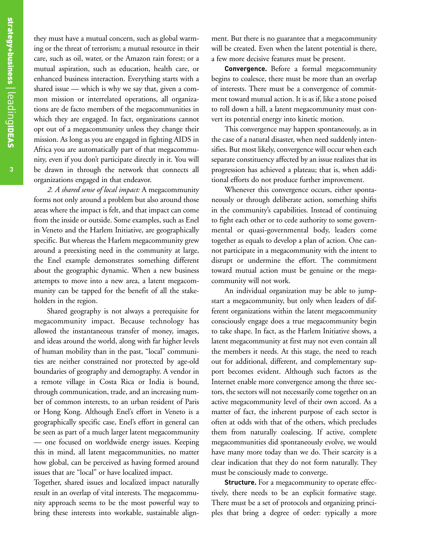they must have a mutual concern, such as global warming or the threat of terrorism; a mutual resource in their care, such as oil, water, or the Amazon rain forest; or a mutual aspiration, such as education, health care, or enhanced business interaction. Everything starts with a shared issue — which is why we say that, given a common mission or interrelated operations, all organizations are de facto members of the megacommunities in which they are engaged. In fact, organizations cannot opt out of a megacommunity unless they change their mission. As long as you are engaged in fighting AIDS in Africa you are automatically part of that megacommunity, even if you don't participate directly in it. You will be drawn in through the network that connects all organizations engaged in that endeavor.

*2. A shared sense of local impact:* A megacommunity forms not only around a problem but also around those areas where the impact is felt, and that impact can come from the inside or outside. Some examples, such as Enel in Veneto and the Harlem Initiative, are geographically specific. But whereas the Harlem megacommunity grew around a preexisting need in the community at large, the Enel example demonstrates something different about the geographic dynamic. When a new business attempts to move into a new area, a latent megacommunity can be tapped for the benefit of all the stakeholders in the region.

Shared geography is not always a prerequisite for megacommunity impact. Because technology has allowed the instantaneous transfer of money, images, and ideas around the world, along with far higher levels of human mobility than in the past, "local" communities are neither constrained nor protected by age-old boundaries of geography and demography. A vendor in a remote village in Costa Rica or India is bound, through communication, trade, and an increasing number of common interests, to an urban resident of Paris or Hong Kong. Although Enel's effort in Veneto is a geographically specific case, Enel's effort in general can be seen as part of a much larger latent megacommunity — one focused on worldwide energy issues. Keeping this in mind, all latent megacommunities, no matter how global, can be perceived as having formed around issues that are "local" or have localized impact.

Together, shared issues and localized impact naturally result in an overlap of vital interests. The megacommunity approach seems to be the most powerful way to bring these interests into workable, sustainable alignment. But there is no guarantee that a megacommunity will be created. Even when the latent potential is there, a few more decisive features must be present.

**Convergence.** Before a formal megacommunity begins to coalesce, there must be more than an overlap of interests. There must be a convergence of commitment toward mutual action. It is as if, like a stone poised to roll down a hill, a latent megacommunity must convert its potential energy into kinetic motion.

This convergence may happen spontaneously, as in the case of a natural disaster, when need suddenly intensifies. But most likely, convergence will occur when each separate constituency affected by an issue realizes that its progression has achieved a plateau; that is, when additional efforts do not produce further improvement.

Whenever this convergence occurs, either spontaneously or through deliberate action, something shifts in the community's capabilities. Instead of continuing to fight each other or to cede authority to some governmental or quasi-governmental body, leaders come together as equals to develop a plan of action. One cannot participate in a megacommunity with the intent to disrupt or undermine the effort. The commitment toward mutual action must be genuine or the megacommunity will not work.

An individual organization may be able to jumpstart a megacommunity, but only when leaders of different organizations within the latent megacommunity consciously engage does a true megacommunity begin to take shape. In fact, as the Harlem Initiative shows, a latent megacommunity at first may not even contain all the members it needs. At this stage, the need to reach out for additional, different, and complementary support becomes evident. Although such factors as the Internet enable more convergence among the three sectors, the sectors will not necessarily come together on an active megacommunity level of their own accord. As a matter of fact, the inherent purpose of each sector is often at odds with that of the others, which precludes them from naturally coalescing. If active, complete megacommunities did spontaneously evolve, we would have many more today than we do. Their scarcity is a clear indication that they do not form naturally. They must be consciously made to converge.

**Structure.** For a megacommunity to operate effectively, there needs to be an explicit formative stage. There must be a set of protocols and organizing principles that bring a degree of order: typically a more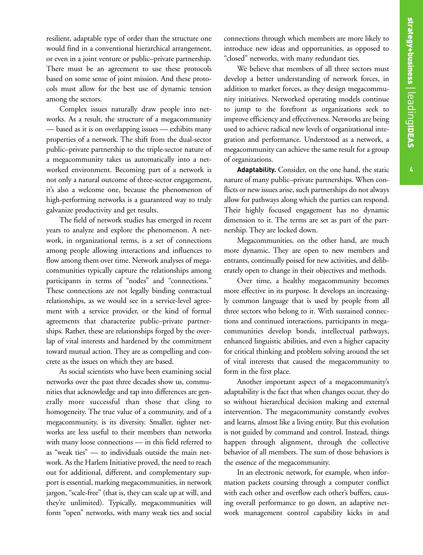resilient, adaptable type of order than the structure one would find in a conventional hierarchical arrangement, or even in a joint venture or public–private partnership. There must be an agreement to use these protocols based on some sense of joint mission. And these protocols must allow for the best use of dynamic tension among the sectors.

Complex issues naturally draw people into networks. As a result, the structure of a megacommunity — based as it is on overlapping issues — exhibits many properties of a network. The shift from the dual-sector public–private partnership to the triple-sector nature of a megacommunity takes us automatically into a networked environment. Becoming part of a network is not only a natural outcome of three-sector engagement, it's also a welcome one, because the phenomenon of high-performing networks is a guaranteed way to truly galvanize productivity and get results.

The field of network studies has emerged in recent years to analyze and explore the phenomenon. A network, in organizational terms, is a set of connections among people allowing interactions and influences to flow among them over time. Network analyses of megacommunities typically capture the relationships among participants in terms of "nodes" and "connections." These connections are not legally binding contractual relationships, as we would see in a service-level agreement with a service provider, or the kind of formal agreements that characterize public–private partnerships. Rather, these are relationships forged by the overlap of vital interests and hardened by the commitment toward mutual action. They are as compelling and concrete as the issues on which they are based.

As social scientists who have been examining social networks over the past three decades show us, communities that acknowledge and tap into differences are generally more successful than those that cling to homogeneity. The true value of a community, and of a megacommunity, is its diversity. Smaller, tighter networks are less useful to their members than networks with many loose connections — in this field referred to as "weak ties" — to individuals outside the main network. As the Harlem Initiative proved, the need to reach out for additional, different, and complementary support is essential, marking megacommunities, in network jargon, "scale-free" (that is, they can scale up at will, and they're unlimited). Typically, megacommunities will form "open" networks, with many weak ties and social

connections through which members are more likely to introduce new ideas and opportunities, as opposed to "closed" networks, with many redundant ties.

We believe that members of all three sectors must develop a better understanding of network forces, in addition to market forces, as they design megacommunity initiatives. Networked operating models continue to jump to the forefront as organizations seek to improve efficiency and effectiveness. Networks are being used to achieve radical new levels of organizational integration and performance. Understood as a network, a megacommunity can achieve the same result for a group of organizations.

**Adaptability.** Consider, on the one hand, the static nature of many public–private partnerships. When conflicts or new issues arise, such partnerships do not always allow for pathways along which the parties can respond. Their highly focused engagement has no dynamic dimension to it. The terms are set as part of the partnership. They are locked down.

Megacommunities, on the other hand, are much more dynamic. They are open to new members and entrants, continually poised for new activities, and deliberately open to change in their objectives and methods.

Over time, a healthy megacommunity becomes more effective in its purpose. It develops an increasingly common language that is used by people from all three sectors who belong to it. With sustained connections and continued interactions, participants in megacommunities develop bonds, intellectual pathways, enhanced linguistic abilities, and even a higher capacity for critical thinking and problem solving around the set of vital interests that caused the megacommunity to form in the first place.

Another important aspect of a megacommunity's adaptability is the fact that when changes occur, they do so without hierarchical decision making and external intervention. The megacommunity constantly evolves and learns, almost like a living entity. But this evolution is not guided by command and control. Instead, things happen through alignment, through the collective behavior of all members. The sum of those behaviors is the essence of the megacommunity.

In an electronic network, for example, when information packets coursing through a computer conflict with each other and overflow each other's buffers, causing overall performance to go down, an adaptive network management control capability kicks in and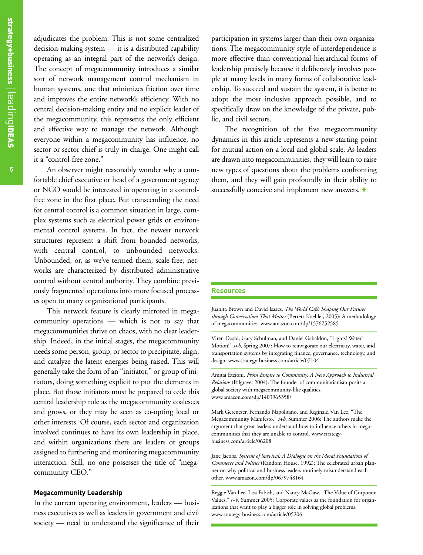adjudicates the problem. This is not some centralized decision-making system — it is a distributed capability operating as an integral part of the network's design. The concept of megacommunity introduces a similar sort of network management control mechanism in human systems, one that minimizes friction over time and improves the entire network's efficiency. With no central decision-making entity and no explicit leader of the megacommunity, this represents the only efficient and effective way to manage the network. Although everyone within a megacommunity has influence, no sector or sector chief is truly in charge. One might call it a "control-free zone."

An observer might reasonably wonder why a comfortable chief executive or head of a government agency or NGO would be interested in operating in a controlfree zone in the first place. But transcending the need for central control is a common situation in large, complex systems such as electrical power grids or environmental control systems. In fact, the newest network structures represent a shift from bounded networks, with central control, to unbounded networks. Unbounded, or, as we've termed them, scale-free, networks are characterized by distributed administrative control without central authority. They combine previously fragmented operations into more focused processes open to many organizational participants.

This network feature is clearly mirrored in megacommunity operations — which is not to say that megacommunities thrive on chaos, with no clear leadership. Indeed, in the initial stages, the megacommunity needs some person, group, or sector to precipitate, align, and catalyze the latent energies being raised. This will generally take the form of an "initiator," or group of initiators, doing something explicit to put the elements in place. But those initiators must be prepared to cede this central leadership role as the megacommunity coalesces and grows, or they may be seen as co-opting local or other interests. Of course, each sector and organization involved continues to have its own leadership in place, and within organizations there are leaders or groups assigned to furthering and monitoring megacommunity interaction. Still, no one possesses the title of "megacommunity CEO."

#### **Megacommunity Leadership**

In the current operating environment, leaders — business executives as well as leaders in government and civil society — need to understand the significance of their

participation in systems larger than their own organizations. The megacommunity style of interdependence is more effective than conventional hierarchical forms of leadership precisely because it deliberately involves people at many levels in many forms of collaborative leadership. To succeed and sustain the system, it is better to adopt the most inclusive approach possible, and to specifically draw on the knowledge of the private, public, and civil sectors.

The recognition of the five megacommunity dynamics in this article represents a new starting point for mutual action on a local and global scale. As leaders are drawn into megacommunities, they will learn to raise new types of questions about the problems confronting them, and they will gain profoundly in their ability to successfully conceive and implement new answers.  $\pm$ 

#### **Resources**

Juanita Brown and David Isaacs, *The World Café: Shaping Our Futures through Conversations That Matter* (Berrett-Koehler, 2005): A methodology of megacommunities. www.amazon.com/dp/1576752585

Viren Doshi, Gary Schulman, and Daniel Gabaldon, "Lights! Water! Motion!" *s+b*, Spring 2007: How to reinvigorate our electricity, water, and transportation systems by integrating finance, governance, technology, and design. www.strategy-business.com/article/07104

Amitai Etzioni, *From Empire to Community: A New Approach to Industrial Relations* (Palgrave, 2004): The founder of communitarianism posits a global society with megacommunity-like qualities. www.amazon.com/dp/1403965358/

Mark Gerencser, Fernando Napolitano, and Reginald Van Lee, "The Megacommunity Manifesto," *s+b*, Summer 2006: The authors make the argument that great leaders understand how to influence others in megacommunities that they are unable to control. www.strategybusiness.com/article/06208

Jane Jacobs, *Systems of Survival: A Dialogue on the Moral Foundations of Commerce and Politics* (Random House, 1992): The celebrated urban planner on why political and business leaders routinely misunderstand each other. www.amazon.com/dp/0679748164

Reggie Van Lee, Lisa Fabish, and Nancy McGaw, "The Value of Corporate Values,"  $s+b$ , Summer 2005: Corporate values as the foundation for organizations that want to play a bigger role in solving global problems. www.strategy-business.com/article/05206